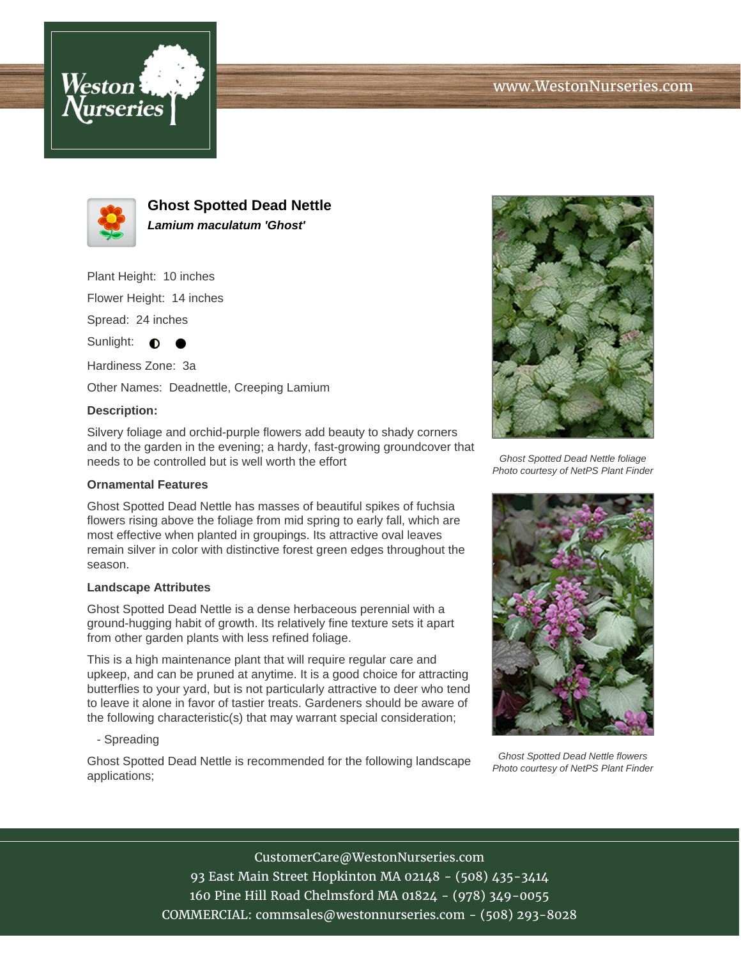



**Ghost Spotted Dead Nettle Lamium maculatum 'Ghost'**

Plant Height: 10 inches

Flower Height: 14 inches

Spread: 24 inches

Sunlight:  $\bullet$ ●

Hardiness Zone: 3a Other Names: Deadnettle, Creeping Lamium

## **Description:**

Silvery foliage and orchid-purple flowers add beauty to shady corners and to the garden in the evening; a hardy, fast-growing groundcover that needs to be controlled but is well worth the effort

## **Ornamental Features**

Ghost Spotted Dead Nettle has masses of beautiful spikes of fuchsia flowers rising above the foliage from mid spring to early fall, which are most effective when planted in groupings. Its attractive oval leaves remain silver in color with distinctive forest green edges throughout the season.

## **Landscape Attributes**

Ghost Spotted Dead Nettle is a dense herbaceous perennial with a ground-hugging habit of growth. Its relatively fine texture sets it apart from other garden plants with less refined foliage.

This is a high maintenance plant that will require regular care and upkeep, and can be pruned at anytime. It is a good choice for attracting butterflies to your yard, but is not particularly attractive to deer who tend to leave it alone in favor of tastier treats. Gardeners should be aware of the following characteristic(s) that may warrant special consideration;

- Spreading

Ghost Spotted Dead Nettle is recommended for the following landscape applications;



Ghost Spotted Dead Nettle foliage Photo courtesy of NetPS Plant Finder



Ghost Spotted Dead Nettle flowers Photo courtesy of NetPS Plant Finder

CustomerCare@WestonNurseries.com 93 East Main Street Hopkinton MA 02148 - (508) 435-3414 160 Pine Hill Road Chelmsford MA 01824 - (978) 349-0055 COMMERCIAL: commsales@westonnurseries.com - (508) 293-8028